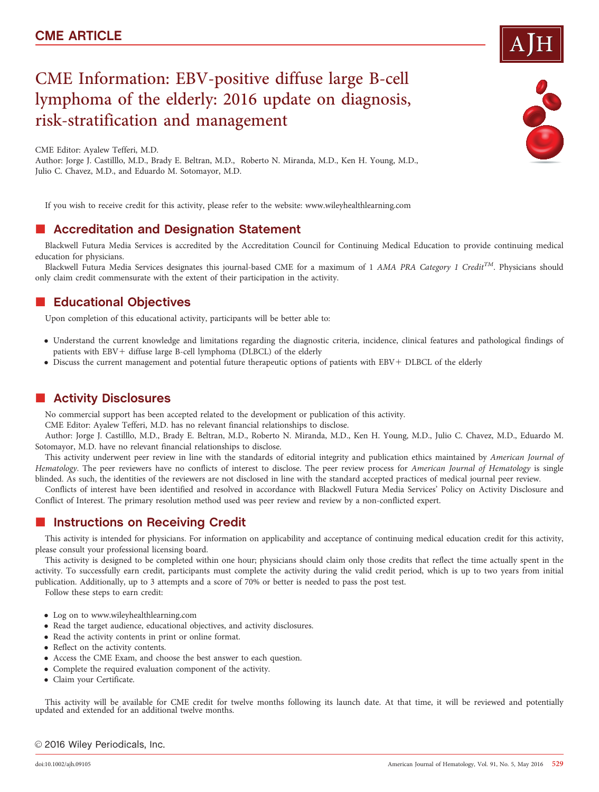

# CME Information: EBV-positive diffuse large B-cell lymphoma of the elderly: 2016 update on diagnosis, risk-stratification and management

CME Editor: Ayalew Tefferi, M.D.

Author: Jorge J. Castilllo, M.D., Brady E. Beltran, M.D., Roberto N. Miranda, M.D., Ken H. Young, M.D., Julio C. Chavez, M.D., and Eduardo M. Sotomayor, M.D.

If you wish to receive credit for this activity, please refer to the website: [www.wileyhealthlearning.com](http://www.wileyhealthlearning.com)

# **E** Accreditation and Designation Statement

Blackwell Futura Media Services is accredited by the Accreditation Council for Continuing Medical Education to provide continuing medical education for physicians.

Blackwell Futura Media Services designates this journal-based CME for a maximum of 1 AMA PRA Category 1 Credit<sup>TM</sup>. Physicians should only claim credit commensurate with the extent of their participation in the activity.

# **E** Educational Objectives

Upon completion of this educational activity, participants will be better able to:

- Understand the current knowledge and limitations regarding the diagnostic criteria, incidence, clinical features and pathological findings of patients with EBV+ diffuse large B-cell lymphoma (DLBCL) of the elderly
- Discuss the current management and potential future therapeutic options of patients with EBV+ DLBCL of the elderly

# **E** Activity Disclosures

No commercial support has been accepted related to the development or publication of this activity.

CME Editor: Ayalew Tefferi, M.D. has no relevant financial relationships to disclose.

Author: Jorge J. Castilllo, M.D., Brady E. Beltran, M.D., Roberto N. Miranda, M.D., Ken H. Young, M.D., Julio C. Chavez, M.D., Eduardo M. Sotomayor, M.D. have no relevant financial relationships to disclose.

This activity underwent peer review in line with the standards of editorial integrity and publication ethics maintained by American Journal of Hematology. The peer reviewers have no conflicts of interest to disclose. The peer review process for American Journal of Hematology is single blinded. As such, the identities of the reviewers are not disclosed in line with the standard accepted practices of medical journal peer review.

Conflicts of interest have been identified and resolved in accordance with Blackwell Futura Media Services' Policy on Activity Disclosure and Conflict of Interest. The primary resolution method used was peer review and review by a non-conflicted expert.

# **E** Instructions on Receiving Credit

This activity is intended for physicians. For information on applicability and acceptance of continuing medical education credit for this activity, please consult your professional licensing board.

This activity is designed to be completed within one hour; physicians should claim only those credits that reflect the time actually spent in the activity. To successfully earn credit, participants must complete the activity during the valid credit period, which is up to two years from initial publication. Additionally, up to 3 attempts and a score of 70% or better is needed to pass the post test.

Follow these steps to earn credit:

- Log on to [www.wileyhealthlearning.com](http://www.wileyhealthlearning.com)
- Read the target audience, educational objectives, and activity disclosures.
- Read the activity contents in print or online format.
- Reflect on the activity contents.
- Access the CME Exam, and choose the best answer to each question.
- Complete the required evaluation component of the activity.
- Claim your Certificate.

This activity will be available for CME credit for twelve months following its launch date. At that time, it will be reviewed and potentially updated and extended for an additional twelve months.

### © 2016 Wiley Periodicals, Inc.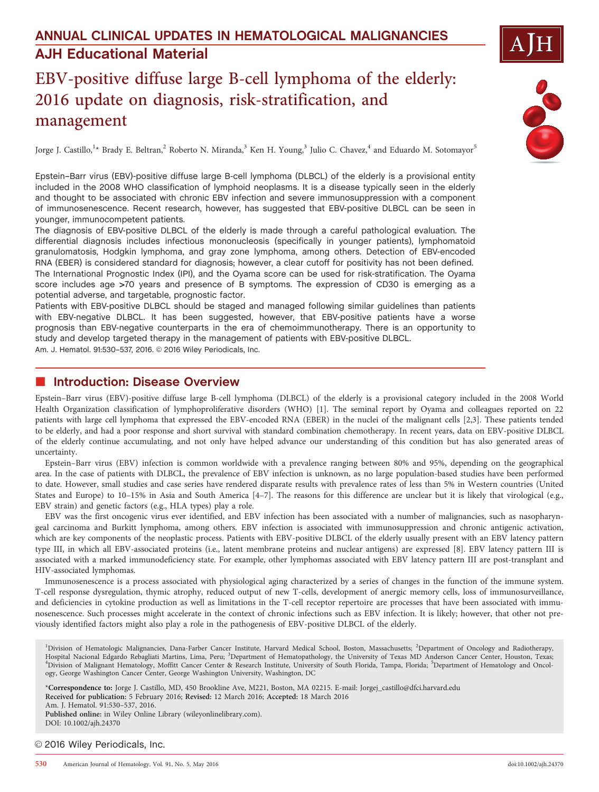# AJH Educational Material ANNUAL CLINICAL UPDATES IN HEMATOLOGICAL MALIGNANCIES

# EBV-positive diffuse large B-cell lymphoma of the elderly: 2016 update on diagnosis, risk-stratification, and management

Jorge J. Castillo,<sup>1</sup>\* Brady E. Beltran,<sup>2</sup> Roberto N. Miranda,<sup>3</sup> Ken H. Young,<sup>3</sup> Julio C. Chavez,<sup>4</sup> and Eduardo M. Sotomayor<sup>5</sup>

Epstein–Barr virus (EBV)-positive diffuse large B-cell lymphoma (DLBCL) of the elderly is a provisional entity included in the 2008 WHO classification of lymphoid neoplasms. It is a disease typically seen in the elderly and thought to be associated with chronic EBV infection and severe immunosuppression with a component of immunosenescence. Recent research, however, has suggested that EBV-positive DLBCL can be seen in younger, immunocompetent patients.

The diagnosis of EBV-positive DLBCL of the elderly is made through a careful pathological evaluation. The differential diagnosis includes infectious mononucleosis (specifically in younger patients), lymphomatoid granulomatosis, Hodgkin lymphoma, and gray zone lymphoma, among others. Detection of EBV-encoded RNA (EBER) is considered standard for diagnosis; however, a clear cutoff for positivity has not been defined. The International Prognostic Index (IPI), and the Oyama score can be used for risk-stratification. The Oyama score includes age >70 years and presence of B symptoms. The expression of CD30 is emerging as a potential adverse, and targetable, prognostic factor.

Patients with EBV-positive DLBCL should be staged and managed following similar guidelines than patients with EBV-negative DLBCL. It has been suggested, however, that EBV-positive patients have a worse prognosis than EBV-negative counterparts in the era of chemoimmunotherapy. There is an opportunity to study and develop targeted therapy in the management of patients with EBV-positive DLBCL.

Am. J. Hematol. 91:530-537, 2016. 2016 Wiley Periodicals, Inc.

# **E** Introduction: Disease Overview

Epstein–Barr virus (EBV)-positive diffuse large B-cell lymphoma (DLBCL) of the elderly is a provisional category included in the 2008 World Health Organization classification of lymphoproliferative disorders (WHO) [1]. The seminal report by Oyama and colleagues reported on 22 patients with large cell lymphoma that expressed the EBV-encoded RNA (EBER) in the nuclei of the malignant cells [2,3]. These patients tended to be elderly, and had a poor response and short survival with standard combination chemotherapy. In recent years, data on EBV-positive DLBCL of the elderly continue accumulating, and not only have helped advance our understanding of this condition but has also generated areas of uncertainty.

Epstein–Barr virus (EBV) infection is common worldwide with a prevalence ranging between 80% and 95%, depending on the geographical area. In the case of patients with DLBCL, the prevalence of EBV infection is unknown, as no large population-based studies have been performed to date. However, small studies and case series have rendered disparate results with prevalence rates of less than 5% in Western countries (United States and Europe) to 10–15% in Asia and South America [4–7]. The reasons for this difference are unclear but it is likely that virological (e.g., EBV strain) and genetic factors (e.g., HLA types) play a role.

EBV was the first oncogenic virus ever identified, and EBV infection has been associated with a number of malignancies, such as nasopharyngeal carcinoma and Burkitt lymphoma, among others. EBV infection is associated with immunosuppression and chronic antigenic activation, which are key components of the neoplastic process. Patients with EBV-positive DLBCL of the elderly usually present with an EBV latency pattern type III, in which all EBV-associated proteins (i.e., latent membrane proteins and nuclear antigens) are expressed [8]. EBV latency pattern III is associated with a marked immunodeficiency state. For example, other lymphomas associated with EBV latency pattern III are post-transplant and HIV-associated lymphomas.

Immunosenescence is a process associated with physiological aging characterized by a series of changes in the function of the immune system. T-cell response dysregulation, thymic atrophy, reduced output of new T-cells, development of anergic memory cells, loss of immunosurveillance, and deficiencies in cytokine production as well as limitations in the T-cell receptor repertoire are processes that have been associated with immunosenescence. Such processes might accelerate in the context of chronic infections such as EBV infection. It is likely; however, that other not previously identified factors might also play a role in the pathogenesis of EBV-positive DLBCL of the elderly.

\*Correspondence to: Jorge J. Castillo, MD, 450 Brookline Ave, M221, Boston, MA 02215. E-mail: Jorgej\_castillo@dfci.harvard.edu Received for publication: 5 February 2016; Revised: 12 March 2016; Accepted: 18 March 2016 Am. J. Hematol. 91:530–537, 2016.

Published online: in Wiley Online Library (wileyonlinelibrary.com). DOI: 10.1002/ajh.24370

© 2016 Wiley Periodicals, Inc.







<sup>&</sup>lt;sup>1</sup>Division of Hematologic Malignancies, Dana-Farber Cancer Institute, Harvard Medical School, Boston, Massachusetts; <sup>2</sup>Department of Oncology and Radiotherapy, Hospital Nacional Edgardo Rebagliati Martins, Lima, Peru; <sup>3</sup>Department of Hematopathology, the University of Texas MD Anderson Cancer Center, Houston, Texas;<br><sup>4</sup>Division of Malignant Hematology, Moffitt Cancer Center & Re Division of Malignant Hematology, Moffitt Cancer Center & Research Institute, University of South Florida, Tampa, Florida; <sup>5</sup> Department of Hematology and Oncology, George Washington Cancer Center, George Washington University, Washington, DC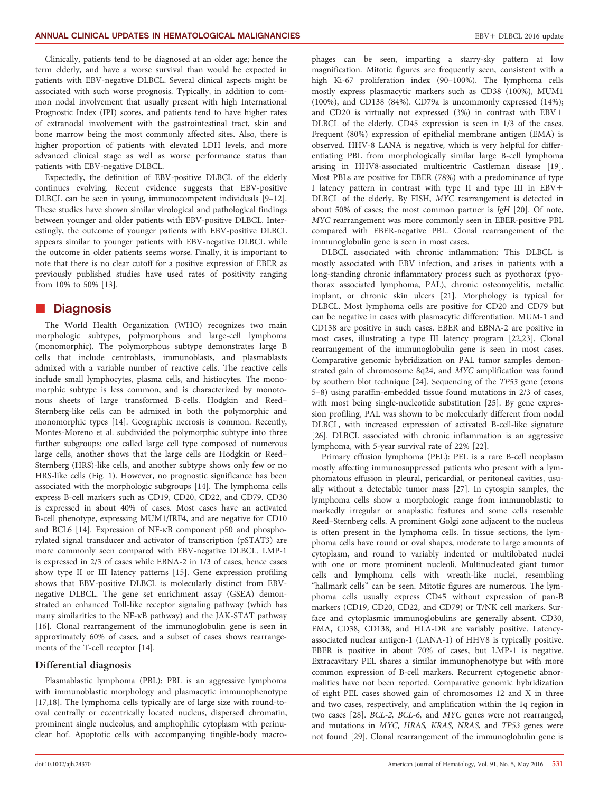Clinically, patients tend to be diagnosed at an older age; hence the term elderly, and have a worse survival than would be expected in patients with EBV-negative DLBCL. Several clinical aspects might be associated with such worse prognosis. Typically, in addition to common nodal involvement that usually present with high International Prognostic Index (IPI) scores, and patients tend to have higher rates of extranodal involvement with the gastrointestinal tract, skin and bone marrow being the most commonly affected sites. Also, there is higher proportion of patients with elevated LDH levels, and more advanced clinical stage as well as worse performance status than patients with EBV-negative DLBCL.

Expectedly, the definition of EBV-positive DLBCL of the elderly continues evolving. Recent evidence suggests that EBV-positive DLBCL can be seen in young, immunocompetent individuals [9–12]. These studies have shown similar virological and pathological findings between younger and older patients with EBV-positive DLBCL. Interestingly, the outcome of younger patients with EBV-positive DLBCL appears similar to younger patients with EBV-negative DLBCL while the outcome in older patients seems worse. Finally, it is important to note that there is no clear cutoff for a positive expression of EBER as previously published studies have used rates of positivity ranging from 10% to 50% [13].

# **Diagnosis**

The World Health Organization (WHO) recognizes two main morphologic subtypes, polymorphous and large-cell lymphoma (monomorphic). The polymorphous subtype demonstrates large B cells that include centroblasts, immunoblasts, and plasmablasts admixed with a variable number of reactive cells. The reactive cells include small lymphocytes, plasma cells, and histiocytes. The monomorphic subtype is less common, and is characterized by monotonous sheets of large transformed B-cells. Hodgkin and Reed– Sternberg-like cells can be admixed in both the polymorphic and monomorphic types [14]. Geographic necrosis is common. Recently, Montes-Moreno et al. subdivided the polymorphic subtype into three further subgroups: one called large cell type composed of numerous large cells, another shows that the large cells are Hodgkin or Reed– Sternberg (HRS)-like cells, and another subtype shows only few or no HRS-like cells (Fig. 1). However, no prognostic significance has been associated with the morphologic subgroups [14]. The lymphoma cells express B-cell markers such as CD19, CD20, CD22, and CD79. CD30 is expressed in about 40% of cases. Most cases have an activated B-cell phenotype, expressing MUM1/IRF4, and are negative for CD10 and BCL6 [14]. Expression of NF-KB component p50 and phosphorylated signal transducer and activator of transcription (pSTAT3) are more commonly seen compared with EBV-negative DLBCL. LMP-1 is expressed in 2/3 of cases while EBNA-2 in 1/3 of cases, hence cases show type II or III latency patterns [15]. Gene expression profiling shows that EBV-positive DLBCL is molecularly distinct from EBVnegative DLBCL. The gene set enrichment assay (GSEA) demonstrated an enhanced Toll-like receptor signaling pathway (which has many similarities to the NF-KB pathway) and the JAK-STAT pathway [16]. Clonal rearrangement of the immunoglobulin gene is seen in approximately 60% of cases, and a subset of cases shows rearrangements of the T-cell receptor [14].

### Differential diagnosis

Plasmablastic lymphoma (PBL): PBL is an aggressive lymphoma with immunoblastic morphology and plasmacytic immunophenotype [17,18]. The lymphoma cells typically are of large size with round-tooval centrally or eccentrically located nucleus, dispersed chromatin, prominent single nucleolus, and amphophilic cytoplasm with perinuclear hof. Apoptotic cells with accompanying tingible-body macrophages can be seen, imparting a starry-sky pattern at low magnification. Mitotic figures are frequently seen, consistent with a high Ki-67 proliferation index (90–100%). The lymphoma cells mostly express plasmacytic markers such as CD38 (100%), MUM1 (100%), and CD138 (84%). CD79a is uncommonly expressed (14%); and CD20 is virtually not expressed  $(3%)$  in contrast with EBV+ DLBCL of the elderly. CD45 expression is seen in 1/3 of the cases. Frequent (80%) expression of epithelial membrane antigen (EMA) is observed. HHV-8 LANA is negative, which is very helpful for differentiating PBL from morphologically similar large B-cell lymphoma arising in HHV8-associated multicentric Castleman disease [19]. Most PBLs are positive for EBER (78%) with a predominance of type I latency pattern in contrast with type II and type III in  $EBV +$ DLBCL of the elderly. By FISH, MYC rearrangement is detected in about 50% of cases; the most common partner is IgH [20]. Of note, MYC rearrangement was more commonly seen in EBER-positive PBL compared with EBER-negative PBL. Clonal rearrangement of the immunoglobulin gene is seen in most cases.

DLBCL associated with chronic inflammation: This DLBCL is mostly associated with EBV infection, and arises in patients with a long-standing chronic inflammatory process such as pyothorax (pyothorax associated lymphoma, PAL), chronic osteomyelitis, metallic implant, or chronic skin ulcers [21]. Morphology is typical for DLBCL. Most lymphoma cells are positive for CD20 and CD79 but can be negative in cases with plasmacytic differentiation. MUM-1 and CD138 are positive in such cases. EBER and EBNA-2 are positive in most cases, illustrating a type III latency program [22,23]. Clonal rearrangement of the immunoglobulin gene is seen in most cases. Comparative genomic hybridization on PAL tumor samples demonstrated gain of chromosome 8q24, and MYC amplification was found by southern blot technique [24]. Sequencing of the TP53 gene (exons 5–8) using paraffin-embedded tissue found mutations in 2/3 of cases, with most being single-nucleotide substitution [25]. By gene expression profiling, PAL was shown to be molecularly different from nodal DLBCL, with increased expression of activated B-cell-like signature [26]. DLBCL associated with chronic inflammation is an aggressive lymphoma, with 5-year survival rate of 22% [22].

Primary effusion lymphoma (PEL): PEL is a rare B-cell neoplasm mostly affecting immunosuppressed patients who present with a lymphomatous effusion in pleural, pericardial, or peritoneal cavities, usually without a detectable tumor mass [27]. In cytospin samples, the lymphoma cells show a morphologic range from immunoblastic to markedly irregular or anaplastic features and some cells resemble Reed–Sternberg cells. A prominent Golgi zone adjacent to the nucleus is often present in the lymphoma cells. In tissue sections, the lymphoma cells have round or oval shapes, moderate to large amounts of cytoplasm, and round to variably indented or multilobated nuclei with one or more prominent nucleoli. Multinucleated giant tumor cells and lymphoma cells with wreath-like nuclei, resembling "hallmark cells" can be seen. Mitotic figures are numerous. The lymphoma cells usually express CD45 without expression of pan-B markers (CD19, CD20, CD22, and CD79) or T/NK cell markers. Surface and cytoplasmic immunoglobulins are generally absent. CD30, EMA, CD38, CD138, and HLA-DR are variably positive. Latencyassociated nuclear antigen-1 (LANA-1) of HHV8 is typically positive. EBER is positive in about 70% of cases, but LMP-1 is negative. Extracavitary PEL shares a similar immunophenotype but with more common expression of B-cell markers. Recurrent cytogenetic abnormalities have not been reported. Comparative genomic hybridization of eight PEL cases showed gain of chromosomes 12 and X in three and two cases, respectively, and amplification within the 1q region in two cases [28]. BCL-2, BCL-6, and MYC genes were not rearranged, and mutations in MYC, HRAS, KRAS, NRAS, and TP53 genes were not found [29]. Clonal rearrangement of the immunoglobulin gene is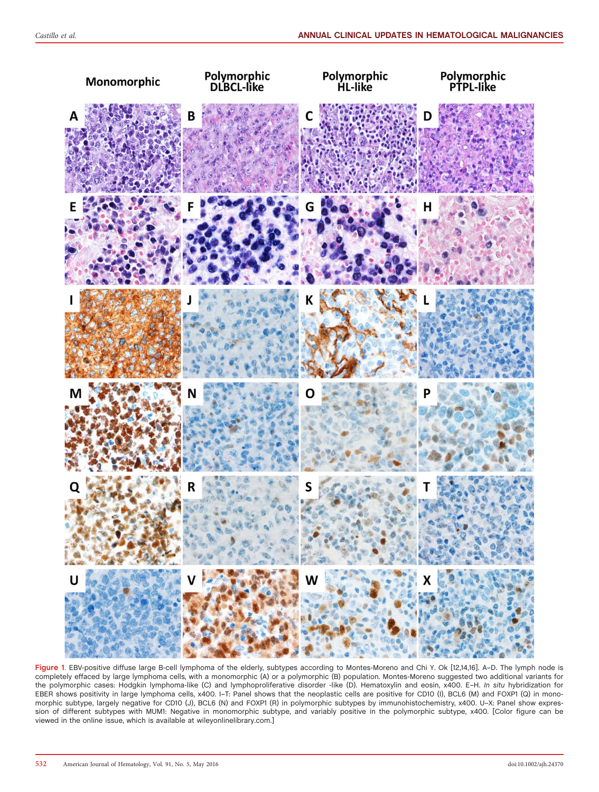

Figure 1. EBV-positive diffuse large B-cell lymphoma of the elderly, subtypes according to Montes-Moreno and Chi Y. Ok [12,14,16]. A-D. The lymph node is completely effaced by large lymphoma cells, with a monomorphic (A) or a polymorphic (B) population. Montes-Moreno suggested two additional variants for the polymorphic cases: Hodgkin lymphoma-like (C) and lymphoproliferative disorder -like (D). Hematoxylin and eosin, x400. E–H. In situ hybridization for EBER shows positivity in large lymphoma cells, x400. I-T: Panel shows that the neoplastic cells are positive for CD10 (I), BCL6 (M) and FOXP1 (Q) in monomorphic subtype, largely negative for CD10 (J), BCL6 (N) and FOXP1 (R) in polymorphic subtypes by immunohistochemistry, x400. U–X: Panel show expression of different subtypes with MUM1: Negative in monomorphic subtype, and variably positive in the polymorphic subtype, x400. [Color figure can be viewed in the online issue, which is available at [wileyonlinelibrary.com](http://wileyonlinelibrary.com).]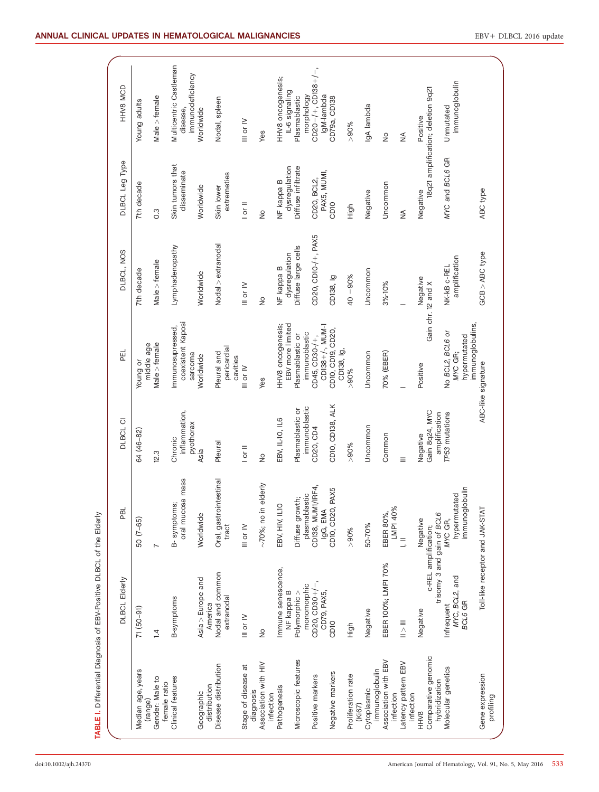|                                            | <b>DLBCL Elderly</b>                                                  | <b>PBL</b>                                | DLBCL CI                              | <b>PEL</b>                                                      | DLBCL, NOS                     | <b>DLBCL Leg Type</b>           | HHV8 MCD                                               |
|--------------------------------------------|-----------------------------------------------------------------------|-------------------------------------------|---------------------------------------|-----------------------------------------------------------------|--------------------------------|---------------------------------|--------------------------------------------------------|
| Median age, years                          | $(16 - 03)$ IZ                                                        | 50 (7-65)                                 | 64 (46-82)                            | Young or                                                        | 7th decade                     | 7th decade                      | Young adults                                           |
| Gender: Male to<br>female ratio<br>(range) | $\ddot{4}$                                                            | Ľ                                         | 12.3                                  | Male > female<br>middle age                                     | Male > female                  | $0.\overline{3}$                | Male > female                                          |
| Clinical features                          | B-symptoms                                                            | mass<br>oral mucosa<br>B-symptoms;        | inflammation,<br>pyothorax<br>Chronic | coexistent Kaposi<br>Immunosupressed,<br>sarcoma                | Lymphadenopathy                | Skin tumors that<br>disseminate | Multicentric Castleman<br>immunodeficiency<br>disease, |
| distribution<br>Geographic                 | Asia > Europe and<br>America                                          | Worldwide                                 | Asia                                  | Worldwide                                                       | Worldwide                      | Worldwide                       | Worldwide                                              |
| Disease distribution                       | Nodal and common<br>extranodal                                        | Oral, gastrointestinal<br>tract           | Pleural                               | pericardial<br>Pleural and<br>cavities                          | Nodal > extranodal             | extremeties<br>Skin lower       | Nodal, spleen                                          |
| Stage of disease at<br>diagnosis           | III or IV                                                             | III or IV                                 | $1$ or $1$                            | III or IV                                                       | III or $N$                     | $\frac{1}{2}$                   | III or $N$                                             |
| Association with HIV<br>infection          | $\frac{1}{2}$                                                         | ~70%; no in elderly                       | $\frac{1}{2}$                         | Yes                                                             | $\frac{1}{2}$                  | $\frac{1}{2}$                   | Yes                                                    |
| Pathogenesis                               | Immune senescence,<br>NF kappa B                                      | EBV, HIV, IL10                            | EBV, IL-10, IL6                       | HHV8 oncogenesis;<br>EBV more limited                           | dysregulation<br>NF kappa B    | dysregulation<br>NF kappa B     | HHV8 oncogenesis;<br>IL-6 signaling                    |
| Microscopic features                       | monomorphic<br>Polymorphic >                                          | plasmablastic<br>Diffuse growth;          | immunoblastic<br>Plasmablastic or     | immunoblastic<br>Plasmablastic or                               | Diffuse large cells            | Diffuse infiltrate              | morphology<br>Plasmablastic                            |
| Positive markers                           | $CD20, CD30+/-,$<br>CD79, PAX5,                                       | CD138, MUMI/IRF4,<br>IgG, EMA             | CD20, CD4                             | CD138+/-, MUM-1<br>CD45, CD30-/+,                               | CD20, CD10-/+, PAX5            | PAX5, MUM1,<br>CD20, BCL2       | $CD20-/+$ , $CD138+/-$ ,<br>IgM-lambda                 |
| Negative markers                           | CD10                                                                  | CD10, CD20, PAX5                          | CDIO, CDI38, ALK                      | CD10, CD19, CD20,<br>CD138, Ig,                                 | CD138, Ig                      | CD <sub>10</sub>                | CD79a, CD138                                           |
| Proliferation rate<br>(Ki67)               | High                                                                  | >90%                                      | $> 90\%$                              | > 90%                                                           | $40 - 90%$                     | 등<br>도                          | $>90\%$                                                |
| immunoglobulin<br>Cytoplasmic              | Negative                                                              | 50-70%                                    | Uncommon                              | Uncommon                                                        | Uncommon                       | Negative                        | IgA lambda                                             |
| Association with EBV<br>infection          | EBER 100%; LMP1 70%                                                   | LMP1 40%<br>EBER 80%,                     | Common                                | 70% (EBER)                                                      | 3%-10%                         | Uncommon                        | $\frac{1}{2}$                                          |
| Latency pattern EBV<br>infection           | $\equiv \frac{1}{2}$                                                  | $\equiv$                                  | Ξ                                     |                                                                 |                                | ≸                               | ≸                                                      |
| Comparative genomic<br>HHV8                | c-REL amplification;<br>Negative                                      | Negative                                  | Gain 8q24, MYC<br>Negative            | Positive                                                        | Negative<br>Gain chr. 12 and X | Negative                        | 18q21 amplification; deletion 9q21<br>Positive         |
| Molecular genetics<br>hybridization        | trisomy 3 and gain of BCL6<br>MYC, BCL2, and<br>BCL6 GR<br>Infrequent | immunoglobulin<br>hypermutated<br>MYC GR, | TP53 mutations<br>amplification       | immunoglobulins,<br>No BCL2, BCL6 or<br>hypermutated<br>MYC GR; | amplification<br>NK-KB c-REL   | MYC and BCL6 GR                 | immunoglobulin<br>Unmutated                            |
| Gene expression<br>profiling               | Toll-like receptor and JAK-STAT                                       |                                           |                                       | ABC-like signature                                              | $GCB > ABC$ type               | ABC type                        |                                                        |

TABLE I. Differential Diagnosis of EBV-Positive DLBCL of the Elderly

TABLE I. Differential Diagnosis of EBV-Positive DLBCL of the Elderly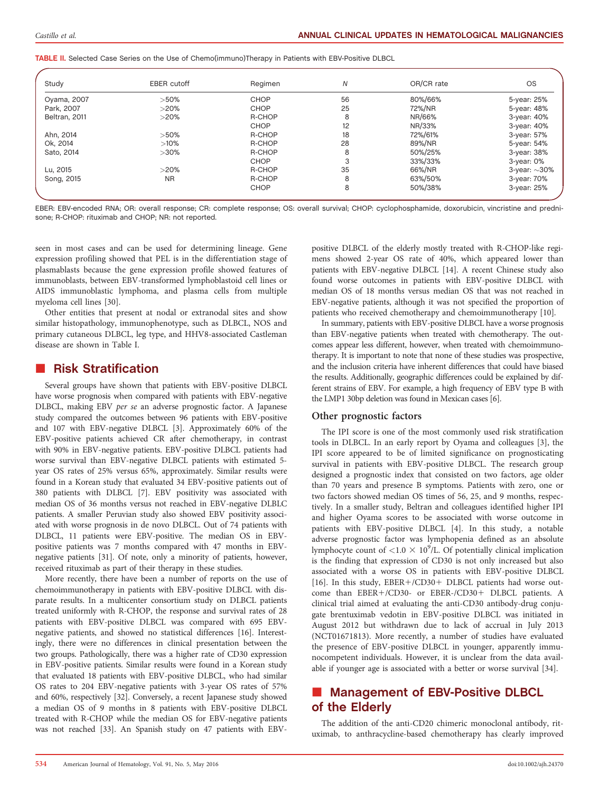TABLE II. Selected Case Series on the Use of Chemo(immuno)Therapy in Patients with EBV-Positive DLBCL

| Study         | <b>EBER</b> cutoff | Regimen     | N  | OR/CR rate | OS                 |
|---------------|--------------------|-------------|----|------------|--------------------|
| Oyama, 2007   | >50%               | <b>CHOP</b> | 56 | 80%/66%    | 5-year: 25%        |
| Park. 2007    | >20%               | <b>CHOP</b> | 25 | 72%/NR     | 5-year: 48%        |
| Beltran, 2011 | >20%               | R-CHOP      | 8  | NR/66%     | 3-year: 40%        |
|               |                    | <b>CHOP</b> | 12 | NR/33%     | 3-year: 40%        |
| Ahn. 2014     | >50%               | R-CHOP      | 18 | 72%/61%    | 3-year: 57%        |
| Ok. 2014      | >10%               | R-CHOP      | 28 | 89%/NR     | 5-year: 54%        |
| Sato, 2014    | $>30\%$            | R-CHOP      | 8  | 50%/25%    | 3-year: 38%        |
|               |                    | <b>CHOP</b> | 3  | 33%/33%    | $3$ -year: $0\%$   |
| Lu. 2015      | >20%               | R-CHOP      | 35 | 66%/NR     | 3-year: $\sim$ 30% |
| Song, 2015    | <b>NR</b>          | R-CHOP      | 8  | 63%/50%    | 3-year: 70%        |
|               |                    | <b>CHOP</b> | 8  | 50%/38%    | 3-year: 25%        |

EBER: EBV-encoded RNA; OR: overall response; CR: complete response; OS: overall survival; CHOP: cyclophosphamide, doxorubicin, vincristine and prednisone; R-CHOP: rituximab and CHOP; NR: not reported.

seen in most cases and can be used for determining lineage. Gene expression profiling showed that PEL is in the differentiation stage of plasmablasts because the gene expression profile showed features of immunoblasts, between EBV-transformed lymphoblastoid cell lines or AIDS immunoblastic lymphoma, and plasma cells from multiple myeloma cell lines [30].

Other entities that present at nodal or extranodal sites and show similar histopathology, immunophenotype, such as DLBCL, NOS and primary cutaneous DLBCL, leg type, and HHV8-associated Castleman disease are shown in Table I.

#### -Risk Stratification

Several groups have shown that patients with EBV-positive DLBCL have worse prognosis when compared with patients with EBV-negative DLBCL, making EBV per se an adverse prognostic factor. A Japanese study compared the outcomes between 96 patients with EBV-positive and 107 with EBV-negative DLBCL [3]. Approximately 60% of the EBV-positive patients achieved CR after chemotherapy, in contrast with 90% in EBV-negative patients. EBV-positive DLBCL patients had worse survival than EBV-negative DLBCL patients with estimated 5 year OS rates of 25% versus 65%, approximately. Similar results were found in a Korean study that evaluated 34 EBV-positive patients out of 380 patients with DLBCL [7]. EBV positivity was associated with median OS of 36 months versus not reached in EBV-negative DLBLC patients. A smaller Peruvian study also showed EBV positivity associated with worse prognosis in de novo DLBCL. Out of 74 patients with DLBCL, 11 patients were EBV-positive. The median OS in EBVpositive patients was 7 months compared with 47 months in EBVnegative patients [31]. Of note, only a minority of patients, however, received rituximab as part of their therapy in these studies.

More recently, there have been a number of reports on the use of chemoimmunotherapy in patients with EBV-positive DLBCL with disparate results. In a multicenter consortium study on DLBCL patients treated uniformly with R-CHOP, the response and survival rates of 28 patients with EBV-positive DLBCL was compared with 695 EBVnegative patients, and showed no statistical differences [16]. Interestingly, there were no differences in clinical presentation between the two groups. Pathologically, there was a higher rate of CD30 expression in EBV-positive patients. Similar results were found in a Korean study that evaluated 18 patients with EBV-positive DLBCL, who had similar OS rates to 204 EBV-negative patients with 3-year OS rates of 57% and 60%, respectively [32]. Conversely, a recent Japanese study showed a median OS of 9 months in 8 patients with EBV-positive DLBCL treated with R-CHOP while the median OS for EBV-negative patients was not reached [33]. An Spanish study on 47 patients with EBV-

positive DLBCL of the elderly mostly treated with R-CHOP-like regimens showed 2-year OS rate of 40%, which appeared lower than patients with EBV-negative DLBCL [14]. A recent Chinese study also found worse outcomes in patients with EBV-positive DLBCL with median OS of 18 months versus median OS that was not reached in EBV-negative patients, although it was not specified the proportion of patients who received chemotherapy and chemoimmunotherapy [10].

In summary, patients with EBV-positive DLBCL have a worse prognosis than EBV-negative patients when treated with chemotherapy. The outcomes appear less different, however, when treated with chemoimmunotherapy. It is important to note that none of these studies was prospective, and the inclusion criteria have inherent differences that could have biased the results. Additionally, geographic differences could be explained by different strains of EBV. For example, a high frequency of EBV type B with the LMP1 30bp deletion was found in Mexican cases [6].

### Other prognostic factors

The IPI score is one of the most commonly used risk stratification tools in DLBCL. In an early report by Oyama and colleagues [3], the IPI score appeared to be of limited significance on prognosticating survival in patients with EBV-positive DLBCL. The research group designed a prognostic index that consisted on two factors, age older than 70 years and presence B symptoms. Patients with zero, one or two factors showed median OS times of 56, 25, and 9 months, respectively. In a smaller study, Beltran and colleagues identified higher IPI and higher Oyama scores to be associated with worse outcome in patients with EBV-positive DLBCL [4]. In this study, a notable adverse prognostic factor was lymphopenia defined as an absolute lymphocyte count of  $\langle 1.0 \times 10^9 \rangle$ L. Of potentially clinical implication is the finding that expression of CD30 is not only increased but also associated with a worse OS in patients with EBV-positive DLBCL [16]. In this study,  $EBER + /CD30 + DLBCL$  patients had worse outcome than EBER+/CD30- or EBER-/CD30+ DLBCL patients. A clinical trial aimed at evaluating the anti-CD30 antibody-drug conjugate brentuximab vedotin in EBV-positive DLBCL was initiated in August 2012 but withdrawn due to lack of accrual in July 2013 (NCT01671813). More recently, a number of studies have evaluated the presence of EBV-positive DLBCL in younger, apparently immunocompetent individuals. However, it is unclear from the data available if younger age is associated with a better or worse survival [34].

# **E** Management of EBV-Positive DLBCL of the Elderly

The addition of the anti-CD20 chimeric monoclonal antibody, rituximab, to anthracycline-based chemotherapy has clearly improved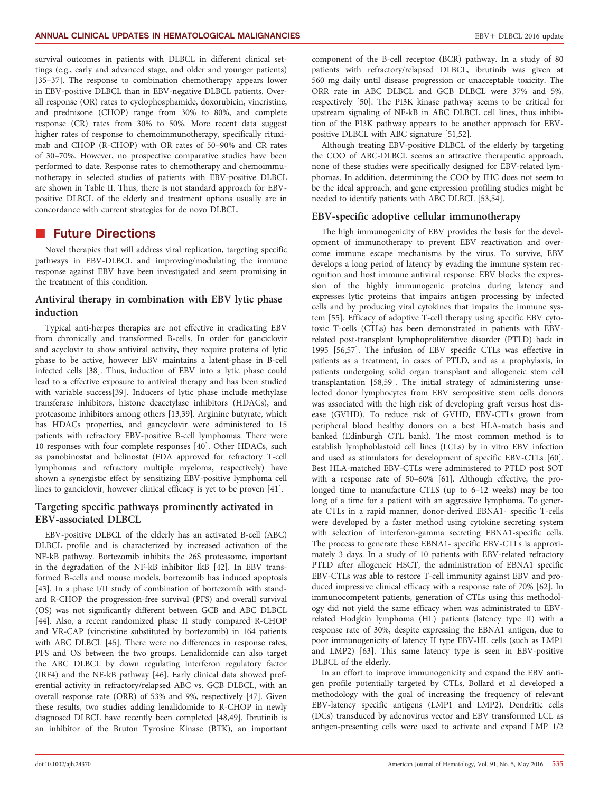survival outcomes in patients with DLBCL in different clinical settings (e.g., early and advanced stage, and older and younger patients) [35–37]. The response to combination chemotherapy appears lower in EBV-positive DLBCL than in EBV-negative DLBCL patients. Overall response (OR) rates to cyclophosphamide, doxorubicin, vincristine, and prednisone (CHOP) range from 30% to 80%, and complete response (CR) rates from 30% to 50%. More recent data suggest higher rates of response to chemoimmunotherapy, specifically rituximab and CHOP (R-CHOP) with OR rates of 50–90% and CR rates of 30–70%. However, no prospective comparative studies have been performed to date. Response rates to chemotherapy and chemoimmunotherapy in selected studies of patients with EBV-positive DLBCL are shown in Table II. Thus, there is not standard approach for EBVpositive DLBCL of the elderly and treatment options usually are in concordance with current strategies for de novo DLBCL.

# **E** Future Directions

Novel therapies that will address viral replication, targeting specific pathways in EBV-DLBCL and improving/modulating the immune response against EBV have been investigated and seem promising in the treatment of this condition.

### Antiviral therapy in combination with EBV lytic phase induction

Typical anti-herpes therapies are not effective in eradicating EBV from chronically and transformed B-cells. In order for ganciclovir and acyclovir to show antiviral activity, they require proteins of lytic phase to be active, however EBV maintains a latent-phase in B-cell infected cells [38]. Thus, induction of EBV into a lytic phase could lead to a effective exposure to antiviral therapy and has been studied with variable success[39]. Inducers of lytic phase include methylase transferase inhibitors, histone deacetylase inhibitors (HDACs), and proteasome inhibitors among others [13,39]. Arginine butyrate, which has HDACs properties, and gancyclovir were administered to 15 patients with refractory EBV-positive B-cell lymphomas. There were 10 responses with four complete responses [40]. Other HDACs, such as panobinostat and belinostat (FDA approved for refractory T-cell lymphomas and refractory multiple myeloma, respectively) have shown a synergistic effect by sensitizing EBV-positive lymphoma cell lines to ganciclovir, however clinical efficacy is yet to be proven [41].

### Targeting specific pathways prominently activated in EBV-associated DLBCL

EBV-positive DLBCL of the elderly has an activated B-cell (ABC) DLBCL profile and is characterized by increased activation of the NF-kB pathway. Bortezomib inhibits the 26S proteasome, important in the degradation of the NF-kB inhibitor IkB [42]. In EBV transformed B-cells and mouse models, bortezomib has induced apoptosis [43]. In a phase I/II study of combination of bortezomib with standard R-CHOP the progression-free survival (PFS) and overall survival (OS) was not significantly different between GCB and ABC DLBCL [44]. Also, a recent randomized phase II study compared R-CHOP and VR-CAP (vincristine substituted by bortezomib) in 164 patients with ABC DLBCL [45]. There were no differences in response rates, PFS and OS between the two groups. Lenalidomide can also target the ABC DLBCL by down regulating interferon regulatory factor (IRF4) and the NF-kB pathway [46]. Early clinical data showed preferential activity in refractory/relapsed ABC vs. GCB DLBCL, with an overall response rate (ORR) of 53% and 9%, respectively [47]. Given these results, two studies adding lenalidomide to R-CHOP in newly diagnosed DLBCL have recently been completed [48,49]. Ibrutinib is an inhibitor of the Bruton Tyrosine Kinase (BTK), an important component of the B-cell receptor (BCR) pathway. In a study of 80 patients with refractory/relapsed DLBCL, ibrutinib was given at 560 mg daily until disease progression or unacceptable toxicity. The ORR rate in ABC DLBCL and GCB DLBCL were 37% and 5%, respectively [50]. The PI3K kinase pathway seems to be critical for upstream signaling of NF-kB in ABC DLBCL cell lines, thus inhibition of the PI3K pathway appears to be another approach for EBVpositive DLBCL with ABC signature [51,52].

Although treating EBV-positive DLBCL of the elderly by targeting the COO of ABC-DLBCL seems an attractive therapeutic approach, none of these studies were specifically designed for EBV-related lymphomas. In addition, determining the COO by IHC does not seem to be the ideal approach, and gene expression profiling studies might be needed to identify patients with ABC DLBCL [53,54].

### EBV-specific adoptive cellular immunotherapy

The high immunogenicity of EBV provides the basis for the development of immunotherapy to prevent EBV reactivation and overcome immune escape mechanisms by the virus. To survive, EBV develops a long period of latency by evading the immune system recognition and host immune antiviral response. EBV blocks the expression of the highly immunogenic proteins during latency and expresses lytic proteins that impairs antigen processing by infected cells and by producing viral cytokines that impairs the immune system [55]. Efficacy of adoptive T-cell therapy using specific EBV cytotoxic T-cells (CTLs) has been demonstrated in patients with EBVrelated post-transplant lymphoproliferative disorder (PTLD) back in 1995 [56,57]. The infusion of EBV specific CTLs was effective in patients as a treatment, in cases of PTLD, and as a prophylaxis, in patients undergoing solid organ transplant and allogeneic stem cell transplantation [58,59]. The initial strategy of administering unselected donor lymphocytes from EBV seropositive stem cells donors was associated with the high risk of developing graft versus host disease (GVHD). To reduce risk of GVHD, EBV-CTLs grown from peripheral blood healthy donors on a best HLA-match basis and banked (Edinburgh CTL bank). The most common method is to establish lymphoblastoid cell lines (LCLs) by in vitro EBV infection and used as stimulators for development of specific EBV-CTLs [60]. Best HLA-matched EBV-CTLs were administered to PTLD post SOT with a response rate of 50–60% [61]. Although effective, the prolonged time to manufacture CTLS (up to 6–12 weeks) may be too long of a time for a patient with an aggressive lymphoma. To generate CTLs in a rapid manner, donor-derived EBNA1- specific T-cells were developed by a faster method using cytokine secreting system with selection of interferon-gamma secreting EBNA1-specific cells. The process to generate these EBNA1- specific EBV-CTLs is approximately 3 days. In a study of 10 patients with EBV-related refractory PTLD after allogeneic HSCT, the administration of EBNA1 specific EBV-CTLs was able to restore T-cell immunity against EBV and produced impressive clinical efficacy with a response rate of 70% [62]. In immunocompetent patients, generation of CTLs using this methodology did not yield the same efficacy when was administrated to EBVrelated Hodgkin lymphoma (HL) patients (latency type II) with a response rate of 30%, despite expressing the EBNA1 antigen, due to poor immunogenicity of latency II type EBV-HL cells (such as LMP1 and LMP2) [63]. This same latency type is seen in EBV-positive DLBCL of the elderly.

In an effort to improve immunogenicity and expand the EBV antigen profile potentially targeted by CTLs, Bollard et al developed a methodology with the goal of increasing the frequency of relevant EBV-latency specific antigens (LMP1 and LMP2). Dendritic cells (DCs) transduced by adenovirus vector and EBV transformed LCL as antigen-presenting cells were used to activate and expand LMP 1/2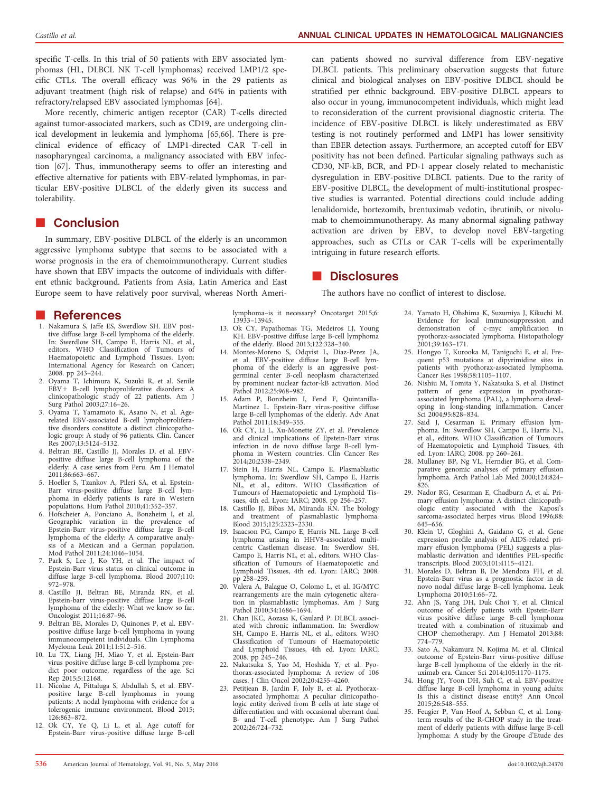specific T-cells. In this trial of 50 patients with EBV associated lymphomas (HL, DLBCL NK T-cell lymphomas) received LMP1/2 specific CTLs. The overall efficacy was 96% in the 29 patients as adjuvant treatment (high risk of relapse) and 64% in patients with refractory/relapsed EBV associated lymphomas [64].

More recently, chimeric antigen receptor (CAR) T-cells directed against tumor-associated markers, such as CD19, are undergoing clinical development in leukemia and lymphoma [65,66]. There is preclinical evidence of efficacy of LMP1-directed CAR T-cell in nasopharyngeal carcinoma, a malignancy associated with EBV infection [67]. Thus, immunotherapy seems to offer an interesting and effective alternative for patients with EBV-related lymphomas, in particular EBV-positive DLBCL of the elderly given its success and tolerability.

# **E** Conclusion

In summary, EBV-positive DLBCL of the elderly is an uncommon aggressive lymphoma subtype that seems to be associated with a worse prognosis in the era of chemoimmunotherapy. Current studies have shown that EBV impacts the outcome of individuals with different ethnic background. Patients from Asia, Latin America and East Europe seem to have relatively poor survival, whereas North Ameri-

# **References**

- 1. Nakamura S, Jaffe ES, Swerdlow SH. EBV positive diffuse large B-cell lymphoma of the elderly. In: Swerdlow SH, Campo E, Harris NL, et al., editors. WHO Classification of Tumours of Haematopoietic and Lymphoid Tissues. Lyon: International Agency for Research on Cancer; 2008. pp 243–244.
- 2. Oyama T, Ichimura K, Suzuki R, et al. Senile EBV+ B-cell lymphoproliferative disorders: A clinicopathologic study of 22 patients. Am J Surg Pathol 2003;27:16–26.
- 3. Oyama T, Yamamoto K, Asano N, et al. Agerelated EBV-associated B-cell lymphoproliferative disorders constitute a distinct clinicopathologic group: A study of 96 patients. Clin. Cancer Res 2007;13:5124–5132.
- 4. Beltran BE, Castillo JJ, Morales D, et al. EBVpositive diffuse large B-cell lymphoma of the elderly: A case series from Peru. Am J Hematol 2011;86:663–667.
- 5. Hoeller S, Tzankov A, Pileri SA, et al. Epstein-Barr virus-positive diffuse large B-cell lymphoma in elderly patients is rare in Western populations. Hum Pathol 2010;41:352–357.
- 6. Hofscheier A, Ponciano A, Bonzheim I, et al. Geographic variation in the prevalence of Epstein-Barr virus-positive diffuse large B-cell lymphoma of the elderly: A comparative analysis of a Mexican and a German population. Mod Pathol 2011;24:1046–1054.
- 7. Park S, Lee J, Ko YH, et al. The impact of Epstein-Barr virus status on clinical outcome in diffuse large B-cell lymphoma. Blood 2007;110: 972–978.
- 8. Castillo JJ, Beltran BE, Miranda RN, et al. Epstein-barr virus-positive diffuse large B-cell lymphoma of the elderly: What we know so far. Oncologist 2011;16:87–96.
- 9. Beltran BE, Morales D, Quinones P, et al. EBVpositive diffuse large b-cell lymphoma in young immunocompetent individuals. Clin Lymphoma Myeloma Leuk 2011;11:512–516.
- 10. Lu TX, Liang JH, Miao Y, et al. Epstein-Barr virus positive diffuse large B-cell lymphoma predict poor outcome, regardless of the age. Sci Rep 2015;5:12168.
- 11. Nicolae A, Pittaluga S, Abdullah S, et al. EBVpositive large B-cell lymphomas in young patients: A nodal lymphoma with evidence for a tolerogenic immune environment. Blood 2015; 126:863–872.
- 12. Ok CY, Ye Q, Li L, et al. Age cutoff for Epstein-Barr virus-positive diffuse large B-cell

can patients showed no survival difference from EBV-negative DLBCL patients. This preliminary observation suggests that future clinical and biological analyses on EBV-positive DLBCL should be stratified per ethnic background. EBV-positive DLBCL appears to also occur in young, immunocompetent individuals, which might lead to reconsideration of the current provisional diagnostic criteria. The incidence of EBV-positive DLBCL is likely underestimated as EBV testing is not routinely performed and LMP1 has lower sensitivity than EBER detection assays. Furthermore, an accepted cutoff for EBV positivity has not been defined. Particular signaling pathways such as CD30, NF-kB, BCR, and PD-1 appear closely related to mechanistic dysregulation in EBV-positive DLBCL patients. Due to the rarity of EBV-positive DLBCL, the development of multi-institutional prospective studies is warranted. Potential directions could include adding lenalidomide, bortezomib, brentuximab vedotin, ibrutinib, or nivolumab to chemoimmunotherapy. As many abnormal signaling pathway activation are driven by EBV, to develop novel EBV-targeting approaches, such as CTLs or CAR T-cells will be experimentally intriguing in future research efforts.

# **n** Disclosures

The authors have no conflict of interest to disclose.

- lymphoma–is it necessary? Oncotarget 2015;6: 13933–13945.
- 13. Ok CY, Papathomas TG, Medeiros LJ, Young KH. EBV-positive diffuse large B-cell lymphoma of the elderly. Blood 2013;122:328–340.
- 14. Montes-Moreno S, Odqvist L, Diaz-Perez JA, et al. EBV-positive diffuse large B-cell lymphoma of the elderly is an aggressive post-germinal center B-cell neoplasm characterized by prominent nuclear factor-kB activation. Mod Pathol 2012;25:968–982.
- 15. Adam P, Bonzheim I, Fend F, Quintanilla-Martinez L. Epstein-Barr virus-positive diffuse large B-cell lymphomas of the elderly. Adv Anat Pathol 2011;18:349-355.
- 16. Ok CY, Li L, Xu-Monette ZY, et al. Prevalence and clinical implications of Epstein-Barr virus infection in de novo diffuse large B-cell lymphoma in Western countries. Clin Cancer Res 2014;20:2338–2349.
- 17. Stein H, Harris NL, Campo E. Plasmablastic lymphoma. In: Swerdlow SH, Campo E, Harris NL, et al., editors. WHO Classification of Tumours of Haematopoietic and Lymphoid Tissues, 4th ed. Lyon: IARC; 2008. pp 256–257.
- 18. Castillo JJ, Bibas M, Miranda RN. The biology and treatment of plasmablastic lymphoma. Blood 2015;125:2323–2330.
- 19. Isaacson PG, Campo E, Harris NL. Large B-cell lymphoma arising in HHV8-associated multicentric Castleman disease. In: Swerdlow SH, Campo E, Harris NL, et al., editors. WHO Clas-sification of Tumours of Haematopoietic and Lymphoid Tissues, 4th ed. Lyon: IARC; 2008.
- pp 258–259. 20. Valera A, Balague O, Colomo L, et al. IG/MYC rearrangements are the main cytogenetic alteration in plasmablastic lymphomas. Am J Surg Pathol 2010;34:1686-1694.
- 21. Chan JKC, Aozasa K, Gaulard P. DLBCL associated with chronic inflammation. In: Swerdlow SH, Campo E, Harris NL, et al., editors. WHO Classification of Tumours of Haematopoietic and Lymphoid Tissues, 4th ed. Lyon: IARC; 2008. pp 245–246.
- 22. Nakatsuka S, Yao M, Hoshida Y, et al. Pyothorax-associated lymphoma: A review of 106 cases. J Clin Oncol 2002;20:4255–4260.
- 23. Petitjean B, Jardin F, Joly B, et al. Pyothoraxassociated lymphoma: A peculiar clinicopatho-logic entity derived from B cells at late stage of differentiation and with occasional aberrant dual B- and T-cell phenotype. Am J Surg Pathol 2002;26:724–732.
- 24. Yamato H, Ohshima K, Suzumiya J, Kikuchi M. Evidence for local immunosuppression and demonstration of c-myc amplification in pyothorax-associated lymphoma. Histopathology 2001;39:163–171.
- 25. Hongyo T, Kurooka M, Taniguchi E, et al. Frequent p53 mutations at dipyrimidine sites in patients with pyothorax-associated lymphoma. Cancer Res 1998;58:1105–1107.
- 26. Nishiu M, Tomita Y, Nakatsuka S, et al. Distinct pattern of gene expression in pyothoraxassociated lymphoma (PAL), a lymphoma developing in long-standing inflammation. Cancer Sci 2004;95:828–834.
- 27. Said J, Cesarman E. Primary effusion lymphoma. In: Swerdlow SH, Campo E, Harris NL, et al., editors. WHO Classification of Tumours of Haematopoietic and Lymphoid Tissues, 4th ed. Lyon: IARC; 2008. pp 260-261.
- 28. Mullaney BP, Ng VL, Herndier BG, et al. Comparative genomic analyses of primary effusion lymphoma. Arch Pathol Lab Med 2000;124:824– 826.
- 29. Nador RG, Cesarman E, Chadburn A, et al. Primary effusion lymphoma: A distinct clinicopathologic entity associated with the Kaposi's sarcoma-associated herpes virus. Blood 1996;88: 645–656.
- 30. Klein U, Gloghini A, Gaidano G, et al. Gene expression profile analysis of AIDS-related primary effusion lymphoma (PEL) suggests a plasmablastic derivation and identifies PEL-specific transcripts. Blood 2003;101:4115–4121.
- 31. Morales D, Beltran B, De Mendoza FH, et al. Epstein-Barr virus as a prognostic factor in de novo nodal diffuse large B-cell lymphoma. Leuk Lymphoma 2010;51:66–72.
- 32. Ahn JS, Yang DH, Duk Choi Y, et al. Clinical outcome of elderly patients with Epstein-Barr virus positive diffuse large B-cell lymphoma treated with a combination of rituximab and CHOP chemotherapy. Am J Hematol 2013;88: 774–779.
- 33. Sato A, Nakamura N, Kojima M, et al. Clinical outcome of Epstein-Barr virus-positive diffuse large B-cell lymphoma of the elderly in the rituximab era. Cancer Sci 2014;105:1170–1175.
- 34. Hong JY, Yoon DH, Suh C, et al. EBV-positive diffuse large B-cell lymphoma in young adults: Is this a distinct disease entity? Ann Oncol 2015;26:548–555.
- 35. Feugier P, Van Hoof A, Sebban C, et al. Longterm results of the R-CHOP study in the treatment of elderly patients with diffuse large B-cell lymphoma: A study by the Groupe d'Etude des